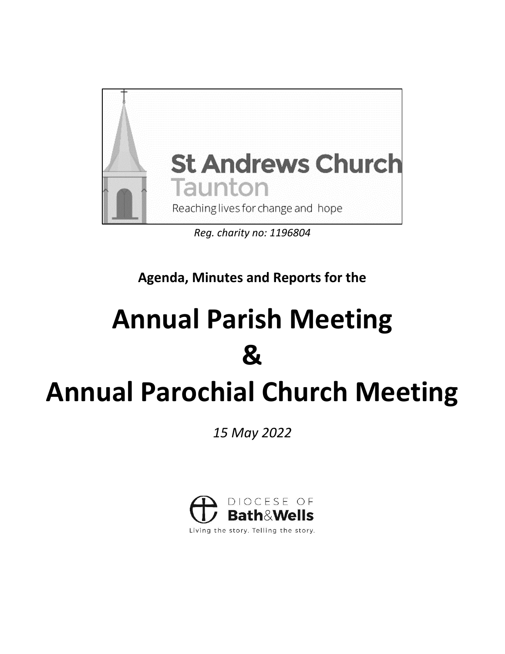

*Reg. charity no: 1196804*

**Agenda, Minutes and Reports for the** 

# **Annual Parish Meeting &**

# **Annual Parochial Church Meeting**

*15 May 2022*



Living the story. Telling the story.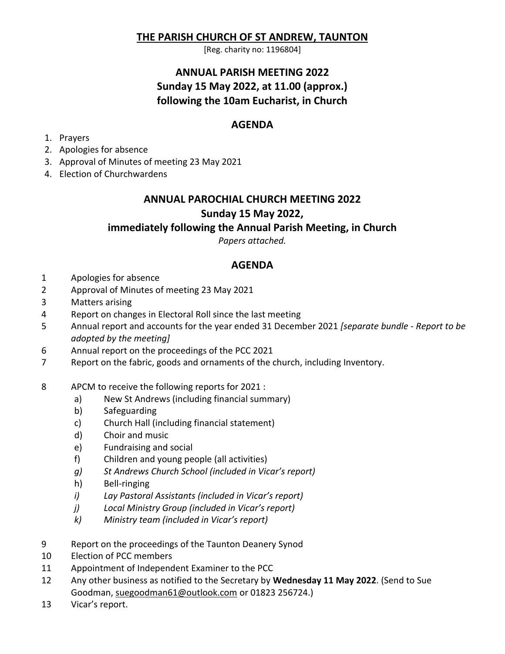# **THE PARISH CHURCH OF ST ANDREW, TAUNTON**

[Reg. charity no: 1196804]

# **ANNUAL PARISH MEETING 2022 Sunday 15 May 2022, at 11.00 (approx.) following the 10am Eucharist, in Church**

# **AGENDA**

- 1. Prayers
- 2. Apologies for absence
- 3. Approval of Minutes of meeting 23 May 2021
- 4. Election of Churchwardens

# **ANNUAL PAROCHIAL CHURCH MEETING 2022 Sunday 15 May 2022,**

# **immediately following the Annual Parish Meeting, in Church**

*Papers attached.*

# **AGENDA**

- 1 Apologies for absence
- 2 Approval of Minutes of meeting 23 May 2021
- 3 Matters arising
- 4 Report on changes in Electoral Roll since the last meeting
- 5 Annual report and accounts for the year ended 31 December 2021 *[separate bundle - Report to be adopted by the meeting]*
- 6 Annual report on the proceedings of the PCC 2021
- 7 Report on the fabric, goods and ornaments of the church, including Inventory.
- 8 APCM to receive the following reports for 2021 :
	- a) New St Andrews (including financial summary)
	- b) Safeguarding
	- c) Church Hall (including financial statement)
	- d) Choir and music
	- e) Fundraising and social
	- f) Children and young people (all activities)
	- *g) St Andrews Church School (included in Vicar's report)*
	- h) Bell-ringing
	- *i) Lay Pastoral Assistants (included in Vicar's report)*
	- *j) Local Ministry Group (included in Vicar's report)*
	- *k) Ministry team (included in Vicar's report)*
- 9 Report on the proceedings of the Taunton Deanery Synod
- 10 Election of PCC members
- 11 Appointment of Independent Examiner to the PCC
- 12 Any other business as notified to the Secretary by **Wednesday 11 May 2022**. (Send to Sue Goodman, [suegoodman61@outlook.com](mailto:suegoodman61@outlook.com) or 01823 256724.)
- 13 Vicar's report.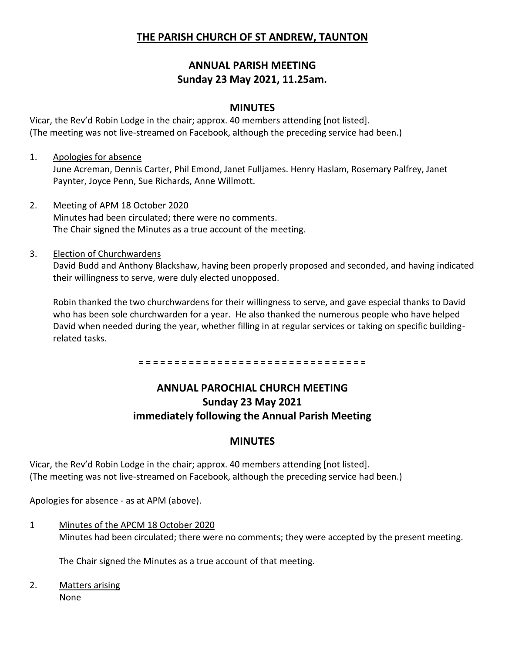# **THE PARISH CHURCH OF ST ANDREW, TAUNTON**

# **ANNUAL PARISH MEETING Sunday 23 May 2021, 11.25am.**

## **MINUTES**

Vicar, the Rev'd Robin Lodge in the chair; approx. 40 members attending [not listed]. (The meeting was not live-streamed on Facebook, although the preceding service had been.)

## 1. Apologies for absence

June Acreman, Dennis Carter, Phil Emond, Janet Fulljames. Henry Haslam, Rosemary Palfrey, Janet Paynter, Joyce Penn, Sue Richards, Anne Willmott.

2. Meeting of APM 18 October 2020 Minutes had been circulated; there were no comments. The Chair signed the Minutes as a true account of the meeting.

## 3. Election of Churchwardens

David Budd and Anthony Blackshaw, having been properly proposed and seconded, and having indicated their willingness to serve, were duly elected unopposed.

Robin thanked the two churchwardens for their willingness to serve, and gave especial thanks to David who has been sole churchwarden for a year. He also thanked the numerous people who have helped David when needed during the year, whether filling in at regular services or taking on specific buildingrelated tasks.

**= = = = = = = = = = = = = = = = = = = = = = = = = = = = = = = =**

# **ANNUAL PAROCHIAL CHURCH MEETING Sunday 23 May 2021 immediately following the Annual Parish Meeting**

## **MINUTES**

Vicar, the Rev'd Robin Lodge in the chair; approx. 40 members attending [not listed]. (The meeting was not live-streamed on Facebook, although the preceding service had been.)

Apologies for absence - as at APM (above).

1 Minutes of the APCM 18 October 2020 Minutes had been circulated; there were no comments; they were accepted by the present meeting.

The Chair signed the Minutes as a true account of that meeting.

2. Matters arising None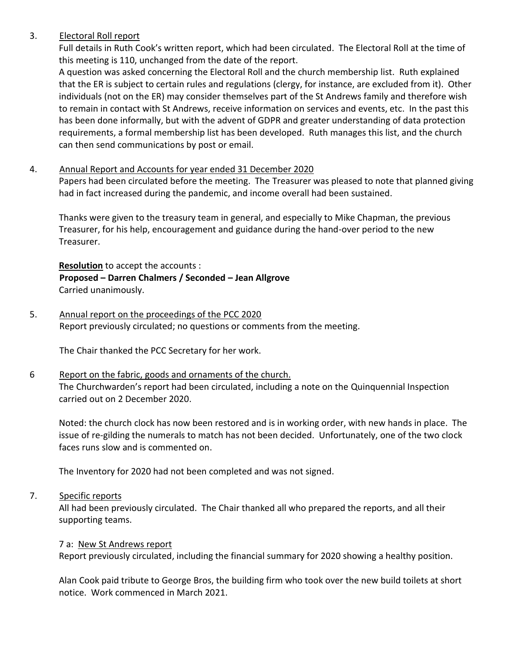## 3. Electoral Roll report

Full details in Ruth Cook's written report, which had been circulated. The Electoral Roll at the time of this meeting is 110, unchanged from the date of the report.

A question was asked concerning the Electoral Roll and the church membership list. Ruth explained that the ER is subject to certain rules and regulations (clergy, for instance, are excluded from it). Other individuals (not on the ER) may consider themselves part of the St Andrews family and therefore wish to remain in contact with St Andrews, receive information on services and events, etc. In the past this has been done informally, but with the advent of GDPR and greater understanding of data protection requirements, a formal membership list has been developed. Ruth manages this list, and the church can then send communications by post or email.

## 4. Annual Report and Accounts for year ended 31 December 2020

Papers had been circulated before the meeting. The Treasurer was pleased to note that planned giving had in fact increased during the pandemic, and income overall had been sustained.

Thanks were given to the treasury team in general, and especially to Mike Chapman, the previous Treasurer, for his help, encouragement and guidance during the hand-over period to the new Treasurer.

**Resolution** to accept the accounts : **Proposed – Darren Chalmers / Seconded – Jean Allgrove** Carried unanimously.

5. Annual report on the proceedings of the PCC 2020 Report previously circulated; no questions or comments from the meeting.

The Chair thanked the PCC Secretary for her work.

## 6 Report on the fabric, goods and ornaments of the church.

The Churchwarden's report had been circulated, including a note on the Quinquennial Inspection carried out on 2 December 2020.

Noted: the church clock has now been restored and is in working order, with new hands in place. The issue of re-gilding the numerals to match has not been decided. Unfortunately, one of the two clock faces runs slow and is commented on.

The Inventory for 2020 had not been completed and was not signed.

#### 7. Specific reports

All had been previously circulated. The Chair thanked all who prepared the reports, and all their supporting teams.

#### 7 a: New St Andrews report

Report previously circulated, including the financial summary for 2020 showing a healthy position.

Alan Cook paid tribute to George Bros, the building firm who took over the new build toilets at short notice. Work commenced in March 2021.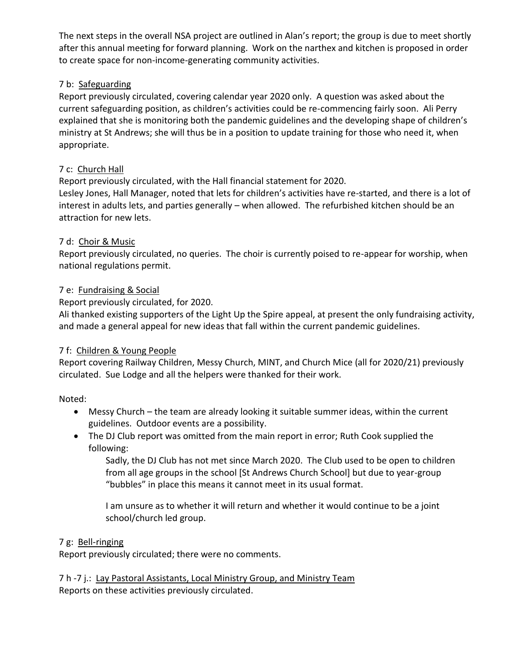The next steps in the overall NSA project are outlined in Alan's report; the group is due to meet shortly after this annual meeting for forward planning. Work on the narthex and kitchen is proposed in order to create space for non-income-generating community activities.

## 7 b: Safeguarding

Report previously circulated, covering calendar year 2020 only. A question was asked about the current safeguarding position, as children's activities could be re-commencing fairly soon. Ali Perry explained that she is monitoring both the pandemic guidelines and the developing shape of children's ministry at St Andrews; she will thus be in a position to update training for those who need it, when appropriate.

## 7 c: Church Hall

Report previously circulated, with the Hall financial statement for 2020.

Lesley Jones, Hall Manager, noted that lets for children's activities have re-started, and there is a lot of interest in adults lets, and parties generally – when allowed. The refurbished kitchen should be an attraction for new lets.

## 7 d: Choir & Music

Report previously circulated, no queries. The choir is currently poised to re-appear for worship, when national regulations permit.

## 7 e: Fundraising & Social

Report previously circulated, for 2020.

Ali thanked existing supporters of the Light Up the Spire appeal, at present the only fundraising activity, and made a general appeal for new ideas that fall within the current pandemic guidelines.

## 7 f: Children & Young People

Report covering Railway Children, Messy Church, MINT, and Church Mice (all for 2020/21) previously circulated. Sue Lodge and all the helpers were thanked for their work.

Noted:

- Messy Church the team are already looking it suitable summer ideas, within the current guidelines. Outdoor events are a possibility.
- The DJ Club report was omitted from the main report in error; Ruth Cook supplied the following:

Sadly, the DJ Club has not met since March 2020. The Club used to be open to children from all age groups in the school [St Andrews Church School] but due to year-group "bubbles" in place this means it cannot meet in its usual format.

I am unsure as to whether it will return and whether it would continue to be a joint school/church led group.

# 7 g: Bell-ringing

Report previously circulated; there were no comments.

7 h -7 j.: Lay Pastoral Assistants, Local Ministry Group, and Ministry Team Reports on these activities previously circulated.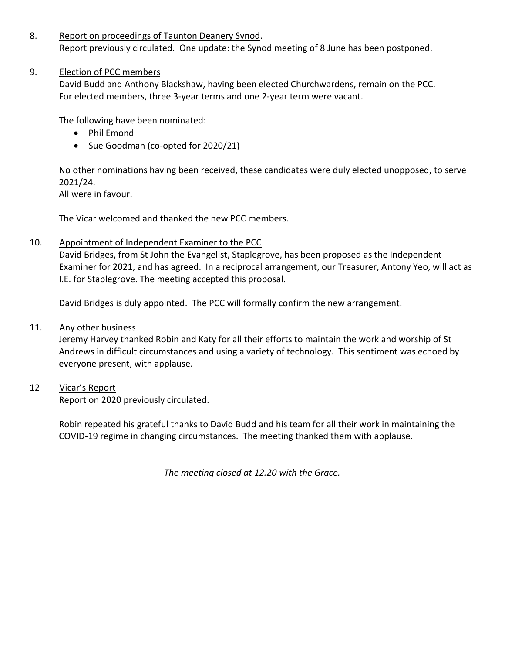#### 8. Report on proceedings of Taunton Deanery Synod.

Report previously circulated. One update: the Synod meeting of 8 June has been postponed.

## 9. Election of PCC members

David Budd and Anthony Blackshaw, having been elected Churchwardens, remain on the PCC. For elected members, three 3-year terms and one 2-year term were vacant.

The following have been nominated:

- Phil Emond
- Sue Goodman (co-opted for 2020/21)

No other nominations having been received, these candidates were duly elected unopposed, to serve 2021/24.

All were in favour.

The Vicar welcomed and thanked the new PCC members.

## 10. Appointment of Independent Examiner to the PCC

David Bridges, from St John the Evangelist, Staplegrove, has been proposed as the Independent Examiner for 2021, and has agreed. In a reciprocal arrangement, our Treasurer, Antony Yeo, will act as I.E. for Staplegrove. The meeting accepted this proposal.

David Bridges is duly appointed. The PCC will formally confirm the new arrangement.

## 11. Any other business

Jeremy Harvey thanked Robin and Katy for all their efforts to maintain the work and worship of St Andrews in difficult circumstances and using a variety of technology. This sentiment was echoed by everyone present, with applause.

## 12 Vicar's Report

Report on 2020 previously circulated.

Robin repeated his grateful thanks to David Budd and his team for all their work in maintaining the COVID-19 regime in changing circumstances. The meeting thanked them with applause.

*The meeting closed at 12.20 with the Grace.*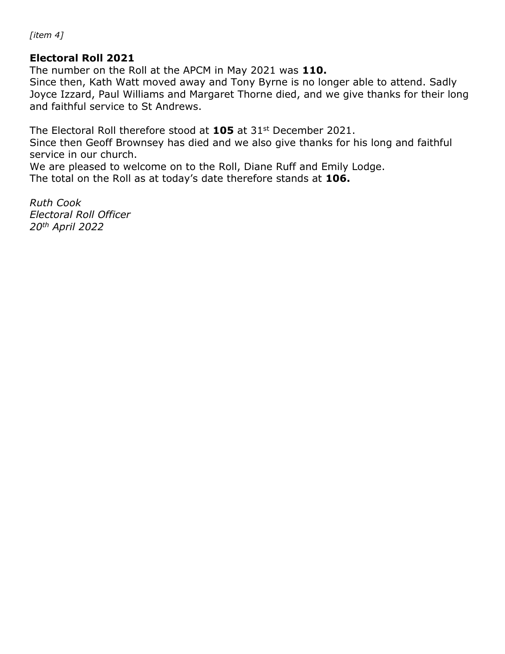*[item 4]*

# **Electoral Roll 2021**

The number on the Roll at the APCM in May 2021 was **110.**

Since then, Kath Watt moved away and Tony Byrne is no longer able to attend. Sadly Joyce Izzard, Paul Williams and Margaret Thorne died, and we give thanks for their long and faithful service to St Andrews.

The Electoral Roll therefore stood at **105** at 31st December 2021.

Since then Geoff Brownsey has died and we also give thanks for his long and faithful service in our church.

We are pleased to welcome on to the Roll, Diane Ruff and Emily Lodge. The total on the Roll as at today's date therefore stands at **106.**

*Ruth Cook Electoral Roll Officer 20th April 2022*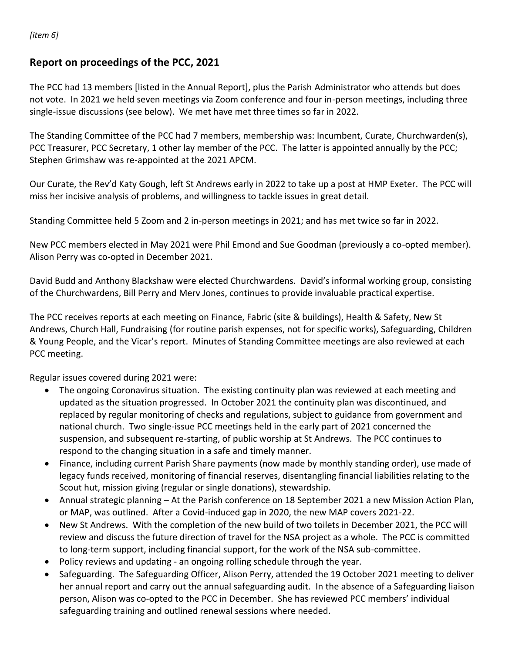*[item 6]*

# **Report on proceedings of the PCC, 2021**

The PCC had 13 members [listed in the Annual Report], plus the Parish Administrator who attends but does not vote. In 2021 we held seven meetings via Zoom conference and four in-person meetings, including three single-issue discussions (see below). We met have met three times so far in 2022.

The Standing Committee of the PCC had 7 members, membership was: Incumbent, Curate, Churchwarden(s), PCC Treasurer, PCC Secretary, 1 other lay member of the PCC. The latter is appointed annually by the PCC; Stephen Grimshaw was re-appointed at the 2021 APCM.

Our Curate, the Rev'd Katy Gough, left St Andrews early in 2022 to take up a post at HMP Exeter. The PCC will miss her incisive analysis of problems, and willingness to tackle issues in great detail.

Standing Committee held 5 Zoom and 2 in-person meetings in 2021; and has met twice so far in 2022.

New PCC members elected in May 2021 were Phil Emond and Sue Goodman (previously a co-opted member). Alison Perry was co-opted in December 2021.

David Budd and Anthony Blackshaw were elected Churchwardens. David's informal working group, consisting of the Churchwardens, Bill Perry and Merv Jones, continues to provide invaluable practical expertise.

The PCC receives reports at each meeting on Finance, Fabric (site & buildings), Health & Safety, New St Andrews, Church Hall, Fundraising (for routine parish expenses, not for specific works), Safeguarding, Children & Young People, and the Vicar's report. Minutes of Standing Committee meetings are also reviewed at each PCC meeting.

Regular issues covered during 2021 were:

- The ongoing Coronavirus situation. The existing continuity plan was reviewed at each meeting and updated as the situation progressed. In October 2021 the continuity plan was discontinued, and replaced by regular monitoring of checks and regulations, subject to guidance from government and national church. Two single-issue PCC meetings held in the early part of 2021 concerned the suspension, and subsequent re-starting, of public worship at St Andrews. The PCC continues to respond to the changing situation in a safe and timely manner.
- Finance, including current Parish Share payments (now made by monthly standing order), use made of legacy funds received, monitoring of financial reserves, disentangling financial liabilities relating to the Scout hut, mission giving (regular or single donations), stewardship.
- Annual strategic planning At the Parish conference on 18 September 2021 a new Mission Action Plan, or MAP, was outlined. After a Covid-induced gap in 2020, the new MAP covers 2021-22.
- New St Andrews. With the completion of the new build of two toilets in December 2021, the PCC will review and discuss the future direction of travel for the NSA project as a whole. The PCC is committed to long-term support, including financial support, for the work of the NSA sub-committee.
- Policy reviews and updating an ongoing rolling schedule through the year.
- Safeguarding. The Safeguarding Officer, Alison Perry, attended the 19 October 2021 meeting to deliver her annual report and carry out the annual safeguarding audit. In the absence of a Safeguarding liaison person, Alison was co-opted to the PCC in December. She has reviewed PCC members' individual safeguarding training and outlined renewal sessions where needed.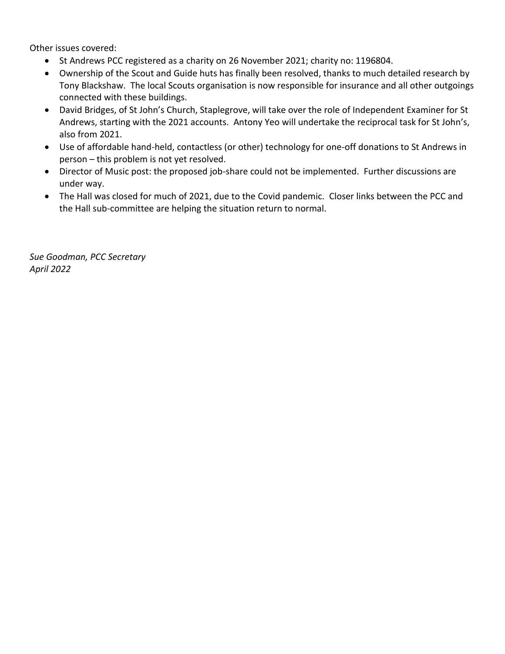Other issues covered:

- St Andrews PCC registered as a charity on 26 November 2021; charity no: 1196804.
- Ownership of the Scout and Guide huts has finally been resolved, thanks to much detailed research by Tony Blackshaw. The local Scouts organisation is now responsible for insurance and all other outgoings connected with these buildings.
- David Bridges, of St John's Church, Staplegrove, will take over the role of Independent Examiner for St Andrews, starting with the 2021 accounts. Antony Yeo will undertake the reciprocal task for St John's, also from 2021.
- Use of affordable hand-held, contactless (or other) technology for one-off donations to St Andrews in person – this problem is not yet resolved.
- Director of Music post: the proposed job-share could not be implemented. Further discussions are under way.
- The Hall was closed for much of 2021, due to the Covid pandemic. Closer links between the PCC and the Hall sub-committee are helping the situation return to normal.

*Sue Goodman, PCC Secretary April 2022*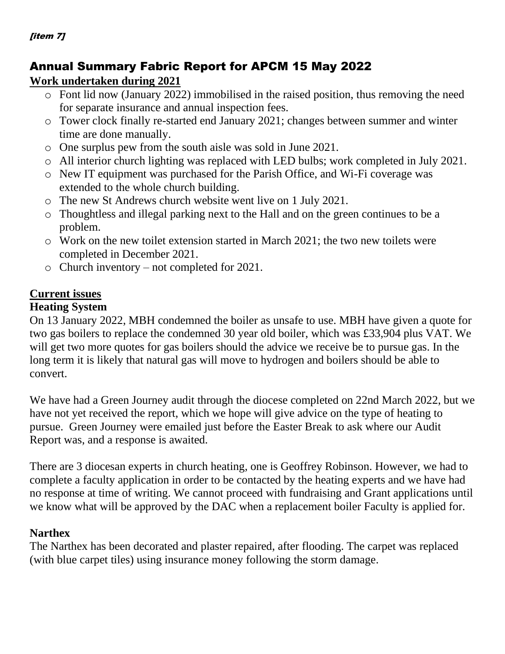# [item 7]

# Annual Summary Fabric Report for APCM 15 May 2022

# **Work undertaken during 2021**

- o Font lid now (January 2022) immobilised in the raised position, thus removing the need for separate insurance and annual inspection fees.
- o Tower clock finally re-started end January 2021; changes between summer and winter time are done manually.
- o One surplus pew from the south aisle was sold in June 2021.
- o All interior church lighting was replaced with LED bulbs; work completed in July 2021.
- o New IT equipment was purchased for the Parish Office, and Wi-Fi coverage was extended to the whole church building.
- o The new St Andrews church website went live on 1 July 2021.
- o Thoughtless and illegal parking next to the Hall and on the green continues to be a problem.
- o Work on the new toilet extension started in March 2021; the two new toilets were completed in December 2021.
- o Church inventory not completed for 2021.

# **Current issues**

# **Heating System**

On 13 January 2022, MBH condemned the boiler as unsafe to use. MBH have given a quote for two gas boilers to replace the condemned 30 year old boiler, which was £33,904 plus VAT. We will get two more quotes for gas boilers should the advice we receive be to pursue gas. In the long term it is likely that natural gas will move to hydrogen and boilers should be able to convert.

We have had a Green Journey audit through the diocese completed on 22nd March 2022, but we have not yet received the report, which we hope will give advice on the type of heating to pursue. Green Journey were emailed just before the Easter Break to ask where our Audit Report was, and a response is awaited.

There are 3 diocesan experts in church heating, one is Geoffrey Robinson. However, we had to complete a faculty application in order to be contacted by the heating experts and we have had no response at time of writing. We cannot proceed with fundraising and Grant applications until we know what will be approved by the DAC when a replacement boiler Faculty is applied for.

# **Narthex**

The Narthex has been decorated and plaster repaired, after flooding. The carpet was replaced (with blue carpet tiles) using insurance money following the storm damage.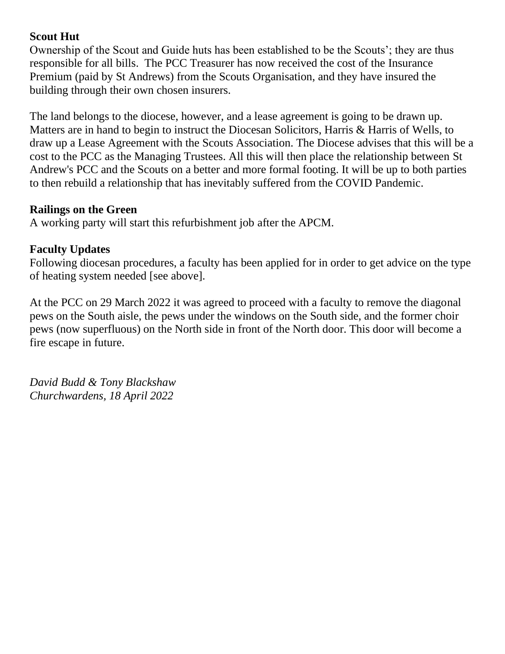# **Scout Hut**

Ownership of the Scout and Guide huts has been established to be the Scouts'; they are thus responsible for all bills. The PCC Treasurer has now received the cost of the Insurance Premium (paid by St Andrews) from the Scouts Organisation, and they have insured the building through their own chosen insurers.

The land belongs to the diocese, however, and a lease agreement is going to be drawn up. Matters are in hand to begin to instruct the Diocesan Solicitors, Harris & Harris of Wells, to draw up a Lease Agreement with the Scouts Association. The Diocese advises that this will be a cost to the PCC as the Managing Trustees. All this will then place the relationship between St Andrew's PCC and the Scouts on a better and more formal footing. It will be up to both parties to then rebuild a relationship that has inevitably suffered from the COVID Pandemic.

# **Railings on the Green**

A working party will start this refurbishment job after the APCM.

# **Faculty Updates**

Following diocesan procedures, a faculty has been applied for in order to get advice on the type of heating system needed [see above].

At the PCC on 29 March 2022 it was agreed to proceed with a faculty to remove the diagonal pews on the South aisle, the pews under the windows on the South side, and the former choir pews (now superfluous) on the North side in front of the North door. This door will become a fire escape in future.

*David Budd & Tony Blackshaw Churchwardens, 18 April 2022*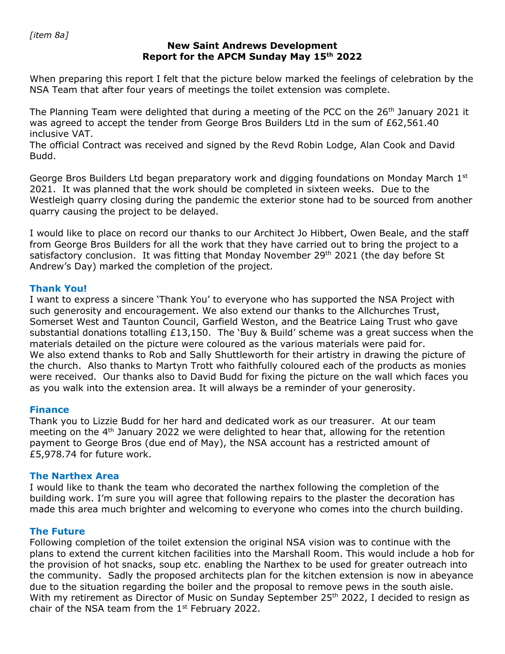## **New Saint Andrews Development Report for the APCM Sunday May 15th 2022**

When preparing this report I felt that the picture below marked the feelings of celebration by the NSA Team that after four years of meetings the toilet extension was complete.

The Planning Team were delighted that during a meeting of the PCC on the  $26<sup>th</sup>$  January 2021 it was agreed to accept the tender from George Bros Builders Ltd in the sum of £62,561.40 inclusive VAT.

The official Contract was received and signed by the Revd Robin Lodge, Alan Cook and David Budd.

George Bros Builders Ltd began preparatory work and digging foundations on Monday March  $1<sup>st</sup>$ 2021. It was planned that the work should be completed in sixteen weeks. Due to the Westleigh quarry closing during the pandemic the exterior stone had to be sourced from another quarry causing the project to be delayed.

I would like to place on record our thanks to our Architect Jo Hibbert, Owen Beale, and the staff from George Bros Builders for all the work that they have carried out to bring the project to a satisfactory conclusion. It was fitting that Monday November 29<sup>th</sup> 2021 (the day before St Andrew's Day) marked the completion of the project.

## **Thank You!**

I want to express a sincere 'Thank You' to everyone who has supported the NSA Project with such generosity and encouragement. We also extend our thanks to the Allchurches Trust, Somerset West and Taunton Council, Garfield Weston, and the Beatrice Laing Trust who gave substantial donations totalling £13,150. The 'Buy & Build' scheme was a great success when the materials detailed on the picture were coloured as the various materials were paid for. We also extend thanks to Rob and Sally Shuttleworth for their artistry in drawing the picture of the church. Also thanks to Martyn Trott who faithfully coloured each of the products as monies were received. Our thanks also to David Budd for fixing the picture on the wall which faces you as you walk into the extension area. It will always be a reminder of your generosity.

## **Finance**

Thank you to Lizzie Budd for her hard and dedicated work as our treasurer. At our team meeting on the  $4<sup>th</sup>$  January 2022 we were delighted to hear that, allowing for the retention payment to George Bros (due end of May), the NSA account has a restricted amount of £5,978.74 for future work.

## **The Narthex Area**

I would like to thank the team who decorated the narthex following the completion of the building work. I'm sure you will agree that following repairs to the plaster the decoration has made this area much brighter and welcoming to everyone who comes into the church building.

## **The Future**

Following completion of the toilet extension the original NSA vision was to continue with the plans to extend the current kitchen facilities into the Marshall Room. This would include a hob for the provision of hot snacks, soup etc. enabling the Narthex to be used for greater outreach into the community. Sadly the proposed architects plan for the kitchen extension is now in abeyance due to the situation regarding the boiler and the proposal to remove pews in the south aisle. With my retirement as Director of Music on Sunday September 25<sup>th</sup> 2022, I decided to resign as chair of the NSA team from the 1<sup>st</sup> February 2022.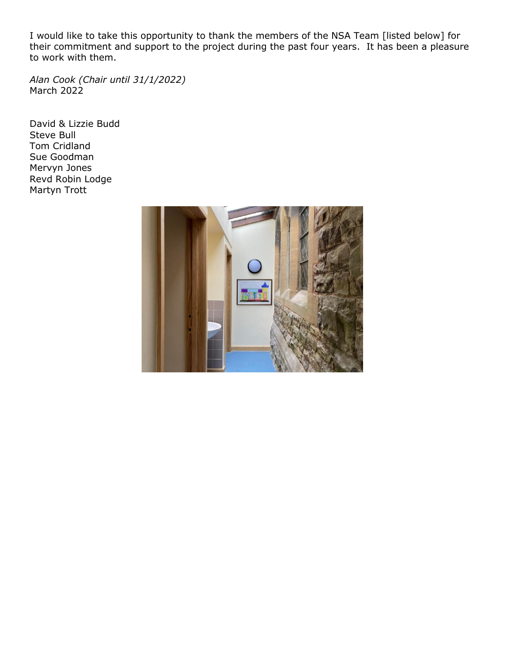I would like to take this opportunity to thank the members of the NSA Team [listed below] for their commitment and support to the project during the past four years. It has been a pleasure to work with them.

*Alan Cook (Chair until 31/1/2022)* March 2022

David & Lizzie Budd Steve Bull Tom Cridland Sue Goodman Mervyn Jones Revd Robin Lodge Martyn Trott

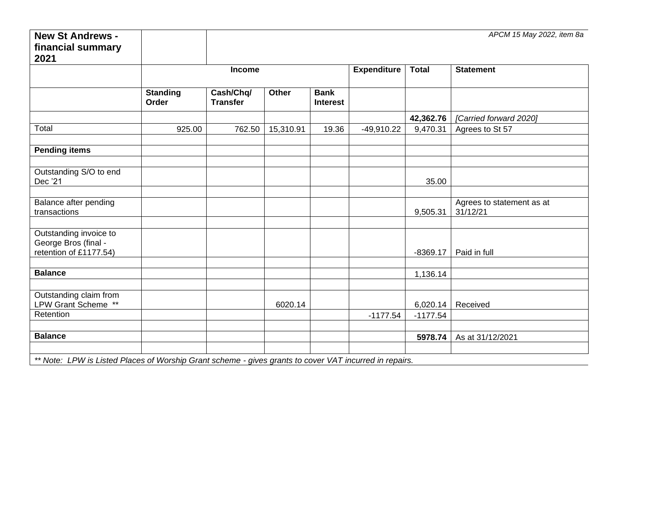| <b>Expenditure</b><br><b>Total</b><br><b>Statement</b><br><b>Income</b><br><b>Standing</b><br>Cash/Chq/<br><b>Bank</b><br>Other<br>Order<br><b>Transfer</b><br><b>Interest</b><br>42,362.76<br>[Carried forward 2020]<br>19.36<br>925.00<br>762.50<br>15,310.91<br>$-49,910.22$<br>9,470.31<br>Agrees to St 57<br>Outstanding S/O to end<br>Dec '21<br>35.00<br>Balance after pending<br>Agrees to statement as at<br>31/12/21<br>transactions<br>9,505.31<br>Outstanding invoice to<br>retention of £1177.54)<br>Paid in full<br>$-8369.17$<br><b>Balance</b><br>1,136.14<br>Outstanding claim from<br>LPW Grant Scheme **<br>6020.14<br>Received<br>6,020.14<br>Retention<br>$-1177.54$<br>$-1177.54$<br>5978.74<br>As at 31/12/2021 | <b>New St Andrews -</b> |  |  |  | APCM 15 May 2022, item 8a |
|----------------------------------------------------------------------------------------------------------------------------------------------------------------------------------------------------------------------------------------------------------------------------------------------------------------------------------------------------------------------------------------------------------------------------------------------------------------------------------------------------------------------------------------------------------------------------------------------------------------------------------------------------------------------------------------------------------------------------------------|-------------------------|--|--|--|---------------------------|
|                                                                                                                                                                                                                                                                                                                                                                                                                                                                                                                                                                                                                                                                                                                                        | financial summary       |  |  |  |                           |
|                                                                                                                                                                                                                                                                                                                                                                                                                                                                                                                                                                                                                                                                                                                                        | 2021                    |  |  |  |                           |
|                                                                                                                                                                                                                                                                                                                                                                                                                                                                                                                                                                                                                                                                                                                                        |                         |  |  |  |                           |
|                                                                                                                                                                                                                                                                                                                                                                                                                                                                                                                                                                                                                                                                                                                                        |                         |  |  |  |                           |
|                                                                                                                                                                                                                                                                                                                                                                                                                                                                                                                                                                                                                                                                                                                                        |                         |  |  |  |                           |
|                                                                                                                                                                                                                                                                                                                                                                                                                                                                                                                                                                                                                                                                                                                                        |                         |  |  |  |                           |
|                                                                                                                                                                                                                                                                                                                                                                                                                                                                                                                                                                                                                                                                                                                                        |                         |  |  |  |                           |
|                                                                                                                                                                                                                                                                                                                                                                                                                                                                                                                                                                                                                                                                                                                                        | Total                   |  |  |  |                           |
|                                                                                                                                                                                                                                                                                                                                                                                                                                                                                                                                                                                                                                                                                                                                        |                         |  |  |  |                           |
|                                                                                                                                                                                                                                                                                                                                                                                                                                                                                                                                                                                                                                                                                                                                        | <b>Pending items</b>    |  |  |  |                           |
|                                                                                                                                                                                                                                                                                                                                                                                                                                                                                                                                                                                                                                                                                                                                        |                         |  |  |  |                           |
|                                                                                                                                                                                                                                                                                                                                                                                                                                                                                                                                                                                                                                                                                                                                        |                         |  |  |  |                           |
|                                                                                                                                                                                                                                                                                                                                                                                                                                                                                                                                                                                                                                                                                                                                        |                         |  |  |  |                           |
|                                                                                                                                                                                                                                                                                                                                                                                                                                                                                                                                                                                                                                                                                                                                        |                         |  |  |  |                           |
|                                                                                                                                                                                                                                                                                                                                                                                                                                                                                                                                                                                                                                                                                                                                        |                         |  |  |  |                           |
|                                                                                                                                                                                                                                                                                                                                                                                                                                                                                                                                                                                                                                                                                                                                        |                         |  |  |  |                           |
|                                                                                                                                                                                                                                                                                                                                                                                                                                                                                                                                                                                                                                                                                                                                        |                         |  |  |  |                           |
|                                                                                                                                                                                                                                                                                                                                                                                                                                                                                                                                                                                                                                                                                                                                        | George Bros (final -    |  |  |  |                           |
|                                                                                                                                                                                                                                                                                                                                                                                                                                                                                                                                                                                                                                                                                                                                        |                         |  |  |  |                           |
|                                                                                                                                                                                                                                                                                                                                                                                                                                                                                                                                                                                                                                                                                                                                        |                         |  |  |  |                           |
|                                                                                                                                                                                                                                                                                                                                                                                                                                                                                                                                                                                                                                                                                                                                        |                         |  |  |  |                           |
|                                                                                                                                                                                                                                                                                                                                                                                                                                                                                                                                                                                                                                                                                                                                        |                         |  |  |  |                           |
|                                                                                                                                                                                                                                                                                                                                                                                                                                                                                                                                                                                                                                                                                                                                        |                         |  |  |  |                           |
|                                                                                                                                                                                                                                                                                                                                                                                                                                                                                                                                                                                                                                                                                                                                        |                         |  |  |  |                           |
|                                                                                                                                                                                                                                                                                                                                                                                                                                                                                                                                                                                                                                                                                                                                        |                         |  |  |  |                           |
|                                                                                                                                                                                                                                                                                                                                                                                                                                                                                                                                                                                                                                                                                                                                        | <b>Balance</b>          |  |  |  |                           |
|                                                                                                                                                                                                                                                                                                                                                                                                                                                                                                                                                                                                                                                                                                                                        |                         |  |  |  |                           |
| ** Note: LPW is Listed Places of Worship Grant scheme - gives grants to cover VAT incurred in repairs.                                                                                                                                                                                                                                                                                                                                                                                                                                                                                                                                                                                                                                 |                         |  |  |  |                           |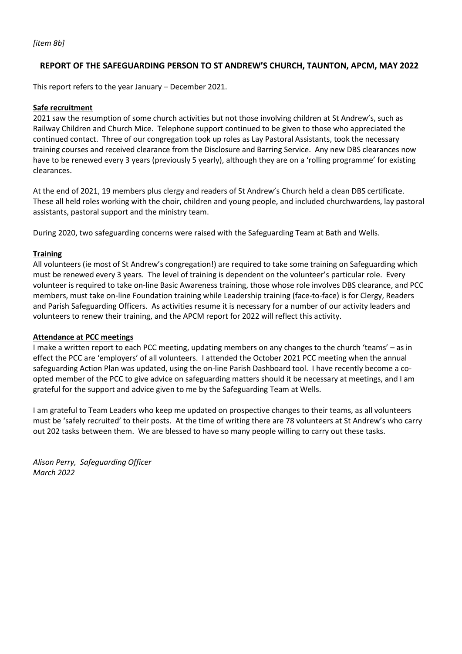#### **REPORT OF THE SAFEGUARDING PERSON TO ST ANDREW'S CHURCH, TAUNTON, APCM, MAY 2022**

This report refers to the year January – December 2021.

#### **Safe recruitment**

2021 saw the resumption of some church activities but not those involving children at St Andrew's, such as Railway Children and Church Mice. Telephone support continued to be given to those who appreciated the continued contact. Three of our congregation took up roles as Lay Pastoral Assistants, took the necessary training courses and received clearance from the Disclosure and Barring Service. Any new DBS clearances now have to be renewed every 3 years (previously 5 yearly), although they are on a 'rolling programme' for existing clearances.

At the end of 2021, 19 members plus clergy and readers of St Andrew's Church held a clean DBS certificate. These all held roles working with the choir, children and young people, and included churchwardens, lay pastoral assistants, pastoral support and the ministry team.

During 2020, two safeguarding concerns were raised with the Safeguarding Team at Bath and Wells.

#### **Training**

All volunteers (ie most of St Andrew's congregation!) are required to take some training on Safeguarding which must be renewed every 3 years. The level of training is dependent on the volunteer's particular role. Every volunteer is required to take on-line Basic Awareness training, those whose role involves DBS clearance, and PCC members, must take on-line Foundation training while Leadership training (face-to-face) is for Clergy, Readers and Parish Safeguarding Officers. As activities resume it is necessary for a number of our activity leaders and volunteers to renew their training, and the APCM report for 2022 will reflect this activity.

#### **Attendance at PCC meetings**

I make a written report to each PCC meeting, updating members on any changes to the church 'teams' – as in effect the PCC are 'employers' of all volunteers. I attended the October 2021 PCC meeting when the annual safeguarding Action Plan was updated, using the on-line Parish Dashboard tool. I have recently become a coopted member of the PCC to give advice on safeguarding matters should it be necessary at meetings, and I am grateful for the support and advice given to me by the Safeguarding Team at Wells.

I am grateful to Team Leaders who keep me updated on prospective changes to their teams, as all volunteers must be 'safely recruited' to their posts. At the time of writing there are 78 volunteers at St Andrew's who carry out 202 tasks between them. We are blessed to have so many people willing to carry out these tasks.

*Alison Perry, Safeguarding Officer March 2022*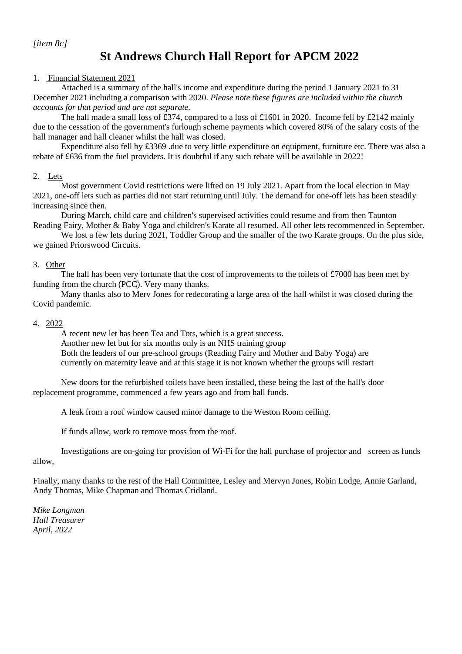*[item 8c]*

# **St Andrews Church Hall Report for APCM 2022**

#### 1. Financial Statement 2021

Attached is a summary of the hall's income and expenditure during the period 1 January 2021 to 31 December 2021 including a comparison with 2020. *Please note these figures are included within the church accounts for that period and are not separate.*

The hall made a small loss of £374, compared to a loss of £1601 in 2020. Income fell by £2142 mainly due to the cessation of the government's furlough scheme payments which covered 80% of the salary costs of the hall manager and hall cleaner whilst the hall was closed.

Expenditure also fell by £3369 .due to very little expenditure on equipment, furniture etc. There was also a rebate of £636 from the fuel providers. It is doubtful if any such rebate will be available in 2022!

#### 2. Lets

Most government Covid restrictions were lifted on 19 July 2021. Apart from the local election in May 2021, one-off lets such as parties did not start returning until July. The demand for one-off lets has been steadily increasing since then.

During March, child care and children's supervised activities could resume and from then Taunton Reading Fairy, Mother & Baby Yoga and children's Karate all resumed. All other lets recommenced in September.

We lost a few lets during 2021, Toddler Group and the smaller of the two Karate groups. On the plus side, we gained Priorswood Circuits.

#### 3. Other

The hall has been very fortunate that the cost of improvements to the toilets of £7000 has been met by funding from the church (PCC). Very many thanks.

Many thanks also to Merv Jones for redecorating a large area of the hall whilst it was closed during the Covid pandemic.

#### 4. 2022

A recent new let has been Tea and Tots, which is a great success. Another new let but for six months only is an NHS training group Both the leaders of our pre-school groups (Reading Fairy and Mother and Baby Yoga) are currently on maternity leave and at this stage it is not known whether the groups will restart

New doors for the refurbished toilets have been installed, these being the last of the hall's door replacement programme, commenced a few years ago and from hall funds.

A leak from a roof window caused minor damage to the Weston Room ceiling.

If funds allow, work to remove moss from the roof.

Investigations are on-going for provision of Wi-Fi for the hall purchase of projector and screen as funds allow,

Finally, many thanks to the rest of the Hall Committee, Lesley and Mervyn Jones, Robin Lodge, Annie Garland, Andy Thomas, Mike Chapman and Thomas Cridland.

*Mike Longman Hall Treasurer April, 2022*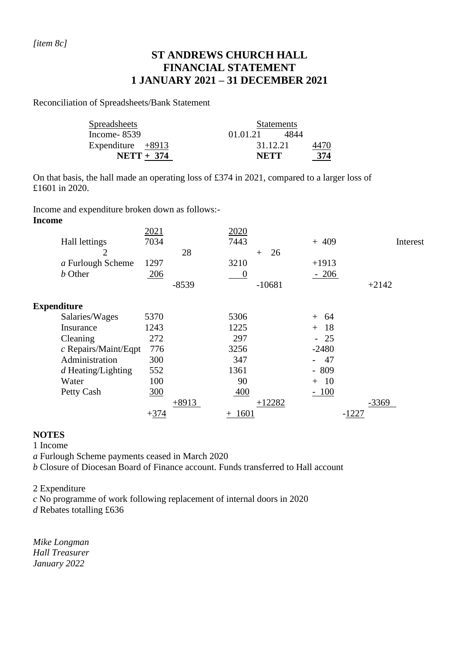# **ST ANDREWS CHURCH HALL FINANCIAL STATEMENT 1 JANUARY 2021 – 31 DECEMBER 2021**

Reconciliation of Spreadsheets/Bank Statement

| <b>Spreadsheets</b> | <b>Statements</b> |       |      |  |  |
|---------------------|-------------------|-------|------|--|--|
| Income- $8539$      | 01.01.21          | -4844 |      |  |  |
| Expenditure $+8913$ | 31.12.21          |       | 4470 |  |  |
| $NETT + 374$        | <b>NETT</b>       | 374   |      |  |  |

On that basis, the hall made an operating loss of £374 in 2021, compared to a larger loss of £1601 in 2020.

Income and expenditure broken down as follows:-

## **Income**

| 2021   |         | 2020             |           |                                |       |                                |
|--------|---------|------------------|-----------|--------------------------------|-------|--------------------------------|
| 7034   |         | 7443             |           | $+409$                         |       |                                |
|        | 28      |                  | 26<br>$+$ |                                |       |                                |
| 1297   |         | 3210             |           | $+1913$                        |       |                                |
| 206    |         | $\boldsymbol{0}$ |           | $-206$                         |       |                                |
|        | $-8539$ |                  | $-10681$  |                                |       |                                |
|        |         |                  |           |                                |       |                                |
| 5370   |         | 5306             |           | -64<br>$+$                     |       |                                |
| 1243   |         | 1225             |           | 18<br>$+$                      |       |                                |
| 272    |         | 297              |           | 25                             |       |                                |
| 776    |         | 3256             |           | $-2480$                        |       |                                |
| 300    |         | 347              |           | 47<br>$\overline{\phantom{0}}$ |       |                                |
| 552    |         | 1361             |           | $-809$                         |       |                                |
| 100    |         | 90               |           | $+ 10$                         |       |                                |
| 300    |         | 400              |           | $-100$                         |       |                                |
|        | $+8913$ |                  | $+12282$  |                                |       |                                |
| $+374$ |         | $+$              |           |                                | -1227 |                                |
|        |         |                  |           | 1601                           |       | Interest<br>$+2142$<br>$-3369$ |

## **NOTES**

1 Income

*a* Furlough Scheme payments ceased in March 2020

*b* Closure of Diocesan Board of Finance account. Funds transferred to Hall account

2 Expenditure

*c* No programme of work following replacement of internal doors in 2020

*d* Rebates totalling £636

*Mike Longman Hall Treasurer January 2022*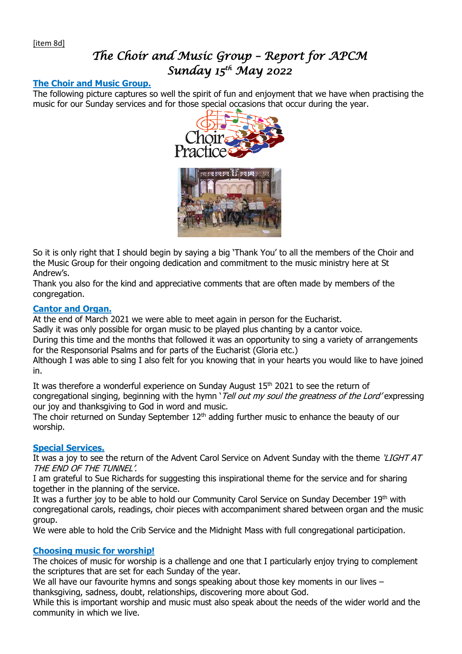# *The Choir and Music Group – Report for APCM Sunday 15th May 2022*

## **The Choir and Music Group.**

The following picture captures so well the spirit of fun and enjoyment that we have when practising the music for our Sunday services and for those special occasions that occur during the year.



So it is only right that I should begin by saying a big 'Thank You' to all the members of the Choir and the Music Group for their ongoing dedication and commitment to the music ministry here at St Andrew's.

Thank you also for the kind and appreciative comments that are often made by members of the congregation.

## **Cantor and Organ.**

At the end of March 2021 we were able to meet again in person for the Eucharist.

Sadly it was only possible for organ music to be played plus chanting by a cantor voice.

During this time and the months that followed it was an opportunity to sing a variety of arrangements for the Responsorial Psalms and for parts of the Eucharist (Gloria etc.)

Although I was able to sing I also felt for you knowing that in your hearts you would like to have joined in.

It was therefore a wonderful experience on Sunday August 15<sup>th</sup> 2021 to see the return of congregational singing, beginning with the hymn '*Tell out my soul the greatness of the Lord'* expressing our joy and thanksgiving to God in word and music.

The choir returned on Sunday September  $12<sup>th</sup>$  adding further music to enhance the beauty of our worship.

## **Special Services.**

It was a joy to see the return of the Advent Carol Service on Advent Sunday with the theme 'LIGHT AT THE END OF THE TUNNEL'.

I am grateful to Sue Richards for suggesting this inspirational theme for the service and for sharing together in the planning of the service.

It was a further joy to be able to hold our Community Carol Service on Sunday December 19th with congregational carols, readings, choir pieces with accompaniment shared between organ and the music group.

We were able to hold the Crib Service and the Midnight Mass with full congregational participation.

## **Choosing music for worship!**

The choices of music for worship is a challenge and one that I particularly enjoy trying to complement the scriptures that are set for each Sunday of the year.

We all have our favourite hymns and songs speaking about those key moments in our lives – thanksgiving, sadness, doubt, relationships, discovering more about God.

While this is important worship and music must also speak about the needs of the wider world and the community in which we live.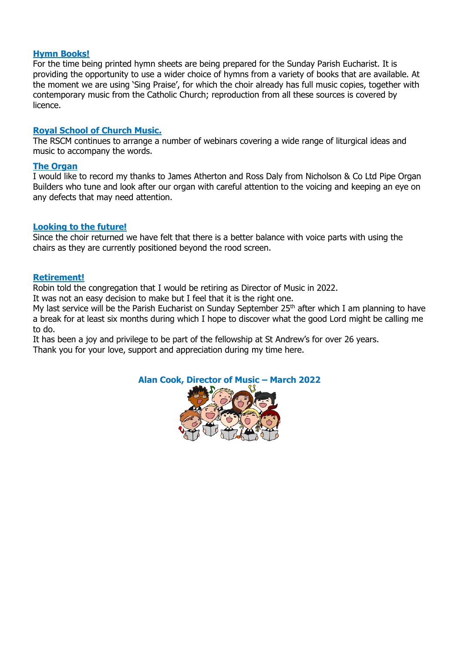## **Hymn Books!**

For the time being printed hymn sheets are being prepared for the Sunday Parish Eucharist. It is providing the opportunity to use a wider choice of hymns from a variety of books that are available. At the moment we are using 'Sing Praise', for which the choir already has full music copies, together with contemporary music from the Catholic Church; reproduction from all these sources is covered by licence.

## **Royal School of Church Music.**

The RSCM continues to arrange a number of webinars covering a wide range of liturgical ideas and music to accompany the words.

#### **The Organ**

I would like to record my thanks to James Atherton and Ross Daly from Nicholson & Co Ltd Pipe Organ Builders who tune and look after our organ with careful attention to the voicing and keeping an eye on any defects that may need attention.

#### **Looking to the future!**

Since the choir returned we have felt that there is a better balance with voice parts with using the chairs as they are currently positioned beyond the rood screen.

#### **Retirement!**

Robin told the congregation that I would be retiring as Director of Music in 2022.

It was not an easy decision to make but I feel that it is the right one.

My last service will be the Parish Eucharist on Sunday September  $25<sup>th</sup>$  after which I am planning to have a break for at least six months during which I hope to discover what the good Lord might be calling me to do.

It has been a joy and privilege to be part of the fellowship at St Andrew's for over 26 years. Thank you for your love, support and appreciation during my time here.

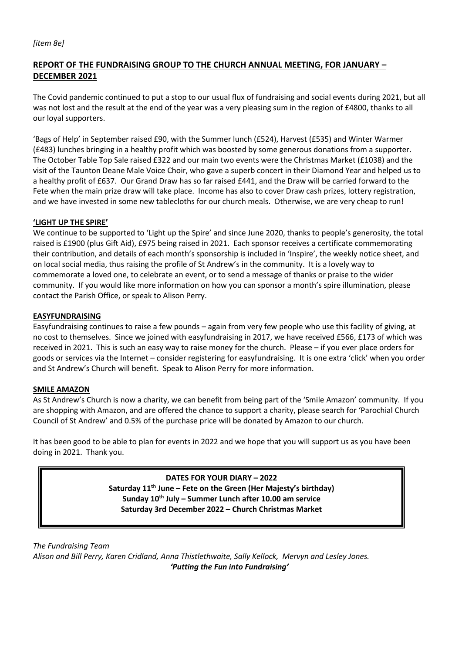# **REPORT OF THE FUNDRAISING GROUP TO THE CHURCH ANNUAL MEETING, FOR JANUARY – DECEMBER 2021**

The Covid pandemic continued to put a stop to our usual flux of fundraising and social events during 2021, but all was not lost and the result at the end of the year was a very pleasing sum in the region of £4800, thanks to all our loyal supporters.

'Bags of Help' in September raised £90, with the Summer lunch (£524), Harvest (£535) and Winter Warmer (£483) lunches bringing in a healthy profit which was boosted by some generous donations from a supporter. The October Table Top Sale raised £322 and our main two events were the Christmas Market (£1038) and the visit of the Taunton Deane Male Voice Choir, who gave a superb concert in their Diamond Year and helped us to a healthy profit of £637. Our Grand Draw has so far raised £441, and the Draw will be carried forward to the Fete when the main prize draw will take place. Income has also to cover Draw cash prizes, lottery registration, and we have invested in some new tablecloths for our church meals. Otherwise, we are very cheap to run!

## **'LIGHT UP THE SPIRE'**

We continue to be supported to 'Light up the Spire' and since June 2020, thanks to people's generosity, the total raised is £1900 (plus Gift Aid), £975 being raised in 2021. Each sponsor receives a certificate commemorating their contribution, and details of each month's sponsorship is included in 'Inspire', the weekly notice sheet, and on local social media, thus raising the profile of St Andrew's in the community. It is a lovely way to commemorate a loved one, to celebrate an event, or to send a message of thanks or praise to the wider community. If you would like more information on how you can sponsor a month's spire illumination, please contact the Parish Office, or speak to Alison Perry.

#### **EASYFUNDRAISING**

Easyfundraising continues to raise a few pounds – again from very few people who use this facility of giving, at no cost to themselves. Since we joined with easyfundraising in 2017, we have received £566, £173 of which was received in 2021. This is such an easy way to raise money for the church. Please – if you ever place orders for goods or services via the Internet – consider registering for easyfundraising. It is one extra 'click' when you order and St Andrew's Church will benefit. Speak to Alison Perry for more information.

#### **SMILE AMAZON**

As St Andrew's Church is now a charity, we can benefit from being part of the 'Smile Amazon' community. If you are shopping with Amazon, and are offered the chance to support a charity, please search for 'Parochial Church Council of St Andrew' and 0.5% of the purchase price will be donated by Amazon to our church.

It has been good to be able to plan for events in 2022 and we hope that you will support us as you have been doing in 2021. Thank you.

> **DATES FOR YOUR DIARY – 2022 Saturday 11th June – Fete on the Green (Her Majesty's birthday) Sunday 10th July – Summer Lunch after 10.00 am service Saturday 3rd December 2022 – Church Christmas Market**

*The Fundraising Team Alison and Bill Perry, Karen Cridland, Anna Thistlethwaite, Sally Kellock, Mervyn and Lesley Jones. 'Putting the Fun into Fundraising'*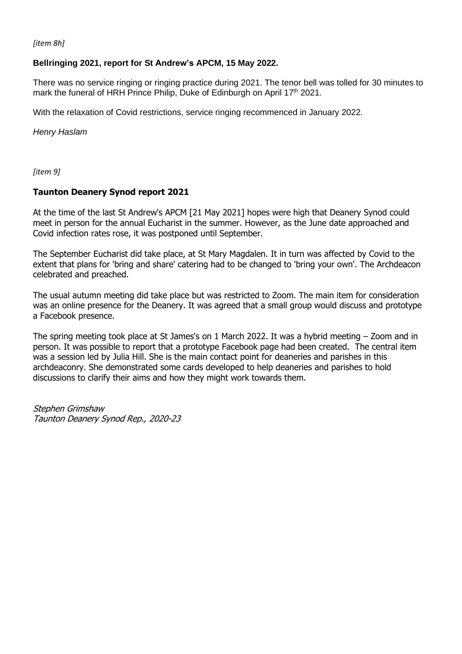*[item 8h]*

## **Bellringing 2021, report for St Andrew's APCM, 15 May 2022.**

There was no service ringing or ringing practice during 2021. The tenor bell was tolled for 30 minutes to mark the funeral of HRH Prince Philip. Duke of Edinburgh on April 17<sup>th</sup> 2021.

With the relaxation of Covid restrictions, service ringing recommenced in January 2022.

*Henry Haslam*

*[item 9]*

#### **Taunton Deanery Synod report 2021**

At the time of the last St Andrew's APCM [21 May 2021] hopes were high that Deanery Synod could meet in person for the annual Eucharist in the summer. However, as the June date approached and Covid infection rates rose, it was postponed until September.

The September Eucharist did take place, at St Mary Magdalen. It in turn was affected by Covid to the extent that plans for 'bring and share' catering had to be changed to 'bring your own'. The Archdeacon celebrated and preached.

The usual autumn meeting did take place but was restricted to Zoom. The main item for consideration was an online presence for the Deanery. It was agreed that a small group would discuss and prototype a Facebook presence.

The spring meeting took place at St James's on 1 March 2022. It was a hybrid meeting – Zoom and in person. It was possible to report that a prototype Facebook page had been created. The central item was a session led by Julia Hill. She is the main contact point for deaneries and parishes in this archdeaconry. She demonstrated some cards developed to help deaneries and parishes to hold discussions to clarify their aims and how they might work towards them.

Stephen Grimshaw Taunton Deanery Synod Rep., 2020-23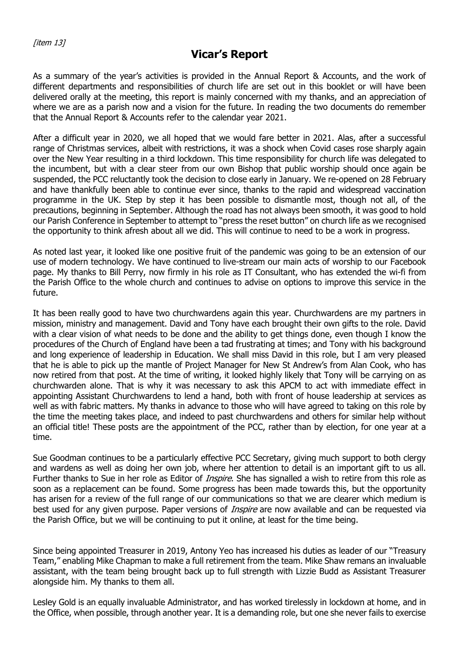# **Vicar's Report**

As a summary of the year's activities is provided in the Annual Report & Accounts, and the work of different departments and responsibilities of church life are set out in this booklet or will have been delivered orally at the meeting, this report is mainly concerned with my thanks, and an appreciation of where we are as a parish now and a vision for the future. In reading the two documents do remember that the Annual Report & Accounts refer to the calendar year 2021.

After a difficult year in 2020, we all hoped that we would fare better in 2021. Alas, after a successful range of Christmas services, albeit with restrictions, it was a shock when Covid cases rose sharply again over the New Year resulting in a third lockdown. This time responsibility for church life was delegated to the incumbent, but with a clear steer from our own Bishop that public worship should once again be suspended, the PCC reluctantly took the decision to close early in January. We re-opened on 28 February and have thankfully been able to continue ever since, thanks to the rapid and widespread vaccination programme in the UK. Step by step it has been possible to dismantle most, though not all, of the precautions, beginning in September. Although the road has not always been smooth, it was good to hold our Parish Conference in September to attempt to "press the reset button" on church life as we recognised the opportunity to think afresh about all we did. This will continue to need to be a work in progress.

As noted last year, it looked like one positive fruit of the pandemic was going to be an extension of our use of modern technology. We have continued to live-stream our main acts of worship to our Facebook page. My thanks to Bill Perry, now firmly in his role as IT Consultant, who has extended the wi-fi from the Parish Office to the whole church and continues to advise on options to improve this service in the future.

It has been really good to have two churchwardens again this year. Churchwardens are my partners in mission, ministry and management. David and Tony have each brought their own gifts to the role. David with a clear vision of what needs to be done and the ability to get things done, even though I know the procedures of the Church of England have been a tad frustrating at times; and Tony with his background and long experience of leadership in Education. We shall miss David in this role, but I am very pleased that he is able to pick up the mantle of Project Manager for New St Andrew's from Alan Cook, who has now retired from that post. At the time of writing, it looked highly likely that Tony will be carrying on as churchwarden alone. That is why it was necessary to ask this APCM to act with immediate effect in appointing Assistant Churchwardens to lend a hand, both with front of house leadership at services as well as with fabric matters. My thanks in advance to those who will have agreed to taking on this role by the time the meeting takes place, and indeed to past churchwardens and others for similar help without an official title! These posts are the appointment of the PCC, rather than by election, for one year at a time.

Sue Goodman continues to be a particularly effective PCC Secretary, giving much support to both clergy and wardens as well as doing her own job, where her attention to detail is an important gift to us all. Further thanks to Sue in her role as Editor of *Inspire*. She has signalled a wish to retire from this role as soon as a replacement can be found. Some progress has been made towards this, but the opportunity has arisen for a review of the full range of our communications so that we are clearer which medium is best used for any given purpose. Paper versions of *Inspire* are now available and can be requested via the Parish Office, but we will be continuing to put it online, at least for the time being.

Since being appointed Treasurer in 2019, Antony Yeo has increased his duties as leader of our "Treasury Team," enabling Mike Chapman to make a full retirement from the team. Mike Shaw remans an invaluable assistant, with the team being brought back up to full strength with Lizzie Budd as Assistant Treasurer alongside him. My thanks to them all.

Lesley Gold is an equally invaluable Administrator, and has worked tirelessly in lockdown at home, and in the Office, when possible, through another year. It is a demanding role, but one she never fails to exercise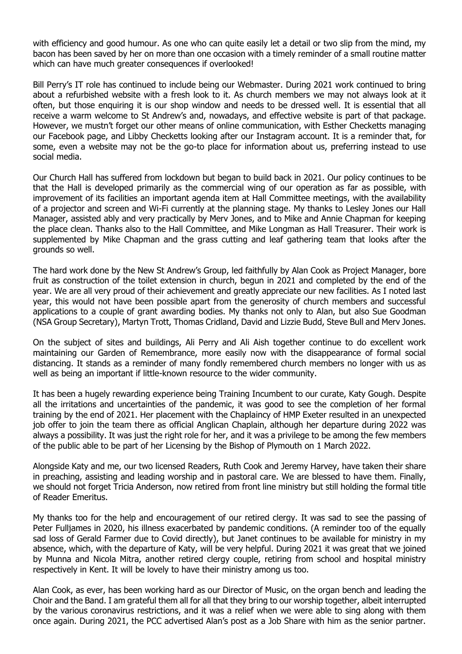with efficiency and good humour. As one who can quite easily let a detail or two slip from the mind, my bacon has been saved by her on more than one occasion with a timely reminder of a small routine matter which can have much greater consequences if overlooked!

Bill Perry's IT role has continued to include being our Webmaster. During 2021 work continued to bring about a refurbished website with a fresh look to it. As church members we may not always look at it often, but those enquiring it is our shop window and needs to be dressed well. It is essential that all receive a warm welcome to St Andrew's and, nowadays, and effective website is part of that package. However, we mustn't forget our other means of online communication, with Esther Checketts managing our Facebook page, and Libby Checketts looking after our Instagram account. It is a reminder that, for some, even a website may not be the go-to place for information about us, preferring instead to use social media.

Our Church Hall has suffered from lockdown but began to build back in 2021. Our policy continues to be that the Hall is developed primarily as the commercial wing of our operation as far as possible, with improvement of its facilities an important agenda item at Hall Committee meetings, with the availability of a projector and screen and Wi-Fi currently at the planning stage. My thanks to Lesley Jones our Hall Manager, assisted ably and very practically by Merv Jones, and to Mike and Annie Chapman for keeping the place clean. Thanks also to the Hall Committee, and Mike Longman as Hall Treasurer. Their work is supplemented by Mike Chapman and the grass cutting and leaf gathering team that looks after the grounds so well.

The hard work done by the New St Andrew's Group, led faithfully by Alan Cook as Project Manager, bore fruit as construction of the toilet extension in church, begun in 2021 and completed by the end of the year. We are all very proud of their achievement and greatly appreciate our new facilities. As I noted last year, this would not have been possible apart from the generosity of church members and successful applications to a couple of grant awarding bodies. My thanks not only to Alan, but also Sue Goodman (NSA Group Secretary), Martyn Trott, Thomas Cridland, David and Lizzie Budd, Steve Bull and Merv Jones.

On the subject of sites and buildings, Ali Perry and Ali Aish together continue to do excellent work maintaining our Garden of Remembrance, more easily now with the disappearance of formal social distancing. It stands as a reminder of many fondly remembered church members no longer with us as well as being an important if little-known resource to the wider community.

It has been a hugely rewarding experience being Training Incumbent to our curate, Katy Gough. Despite all the irritations and uncertainties of the pandemic, it was good to see the completion of her formal training by the end of 2021. Her placement with the Chaplaincy of HMP Exeter resulted in an unexpected job offer to join the team there as official Anglican Chaplain, although her departure during 2022 was always a possibility. It was just the right role for her, and it was a privilege to be among the few members of the public able to be part of her Licensing by the Bishop of Plymouth on 1 March 2022.

Alongside Katy and me, our two licensed Readers, Ruth Cook and Jeremy Harvey, have taken their share in preaching, assisting and leading worship and in pastoral care. We are blessed to have them. Finally, we should not forget Tricia Anderson, now retired from front line ministry but still holding the formal title of Reader Emeritus.

My thanks too for the help and encouragement of our retired clergy. It was sad to see the passing of Peter Fulljames in 2020, his illness exacerbated by pandemic conditions. (A reminder too of the equally sad loss of Gerald Farmer due to Covid directly), but Janet continues to be available for ministry in my absence, which, with the departure of Katy, will be very helpful. During 2021 it was great that we joined by Munna and Nicola Mitra, another retired clergy couple, retiring from school and hospital ministry respectively in Kent. It will be lovely to have their ministry among us too.

Alan Cook, as ever, has been working hard as our Director of Music, on the organ bench and leading the Choir and the Band. I am grateful them all for all that they bring to our worship together, albeit interrupted by the various coronavirus restrictions, and it was a relief when we were able to sing along with them once again. During 2021, the PCC advertised Alan's post as a Job Share with him as the senior partner.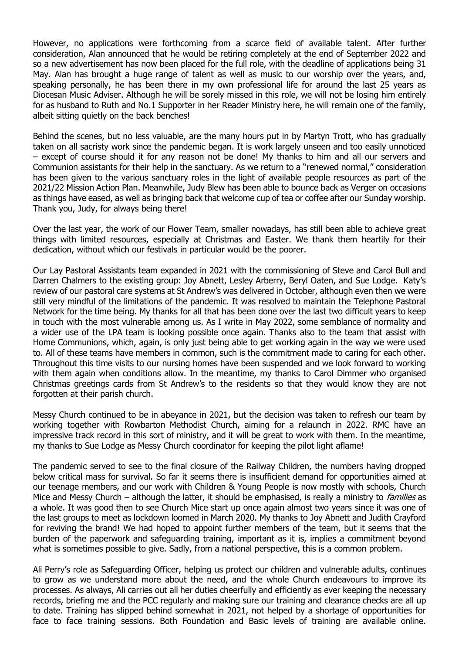However, no applications were forthcoming from a scarce field of available talent. After further consideration, Alan announced that he would be retiring completely at the end of September 2022 and so a new advertisement has now been placed for the full role, with the deadline of applications being 31 May. Alan has brought a huge range of talent as well as music to our worship over the years, and, speaking personally, he has been there in my own professional life for around the last 25 years as Diocesan Music Adviser. Although he will be sorely missed in this role, we will not be losing him entirely for as husband to Ruth and No.1 Supporter in her Reader Ministry here, he will remain one of the family, albeit sitting quietly on the back benches!

Behind the scenes, but no less valuable, are the many hours put in by Martyn Trott, who has gradually taken on all sacristy work since the pandemic began. It is work largely unseen and too easily unnoticed – except of course should it for any reason not be done! My thanks to him and all our servers and Communion assistants for their help in the sanctuary. As we return to a "renewed normal," consideration has been given to the various sanctuary roles in the light of available people resources as part of the 2021/22 Mission Action Plan. Meanwhile, Judy Blew has been able to bounce back as Verger on occasions as things have eased, as well as bringing back that welcome cup of tea or coffee after our Sunday worship. Thank you, Judy, for always being there!

Over the last year, the work of our Flower Team, smaller nowadays, has still been able to achieve great things with limited resources, especially at Christmas and Easter. We thank them heartily for their dedication, without which our festivals in particular would be the poorer.

Our Lay Pastoral Assistants team expanded in 2021 with the commissioning of Steve and Carol Bull and Darren Chalmers to the existing group: Joy Abnett, Lesley Arberry, Beryl Oaten, and Sue Lodge. Katy's review of our pastoral care systems at St Andrew's was delivered in October, although even then we were still very mindful of the limitations of the pandemic. It was resolved to maintain the Telephone Pastoral Network for the time being. My thanks for all that has been done over the last two difficult years to keep in touch with the most vulnerable among us. As I write in May 2022, some semblance of normality and a wider use of the LPA team is looking possible once again. Thanks also to the team that assist with Home Communions, which, again, is only just being able to get working again in the way we were used to. All of these teams have members in common, such is the commitment made to caring for each other. Throughout this time visits to our nursing homes have been suspended and we look forward to working with them again when conditions allow. In the meantime, my thanks to Carol Dimmer who organised Christmas greetings cards from St Andrew's to the residents so that they would know they are not forgotten at their parish church.

Messy Church continued to be in abeyance in 2021, but the decision was taken to refresh our team by working together with Rowbarton Methodist Church, aiming for a relaunch in 2022. RMC have an impressive track record in this sort of ministry, and it will be great to work with them. In the meantime, my thanks to Sue Lodge as Messy Church coordinator for keeping the pilot light aflame!

The pandemic served to see to the final closure of the Railway Children, the numbers having dropped below critical mass for survival. So far it seems there is insufficient demand for opportunities aimed at our teenage members, and our work with Children & Young People is now mostly with schools, Church Mice and Messy Church – although the latter, it should be emphasised, is really a ministry to *families* as a whole. It was good then to see Church Mice start up once again almost two years since it was one of the last groups to meet as lockdown loomed in March 2020. My thanks to Joy Abnett and Judith Crayford for reviving the brand! We had hoped to appoint further members of the team, but it seems that the burden of the paperwork and safeguarding training, important as it is, implies a commitment beyond what is sometimes possible to give. Sadly, from a national perspective, this is a common problem.

Ali Perry's role as Safeguarding Officer, helping us protect our children and vulnerable adults, continues to grow as we understand more about the need, and the whole Church endeavours to improve its processes. As always, Ali carries out all her duties cheerfully and efficiently as ever keeping the necessary records, briefing me and the PCC regularly and making sure our training and clearance checks are all up to date. Training has slipped behind somewhat in 2021, not helped by a shortage of opportunities for face to face training sessions. Both Foundation and Basic levels of training are available online.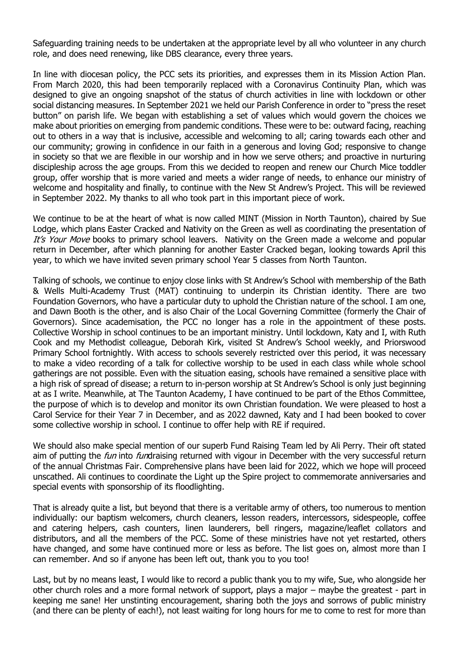Safeguarding training needs to be undertaken at the appropriate level by all who volunteer in any church role, and does need renewing, like DBS clearance, every three years.

In line with diocesan policy, the PCC sets its priorities, and expresses them in its Mission Action Plan. From March 2020, this had been temporarily replaced with a Coronavirus Continuity Plan, which was designed to give an ongoing snapshot of the status of church activities in line with lockdown or other social distancing measures. In September 2021 we held our Parish Conference in order to "press the reset button" on parish life. We began with establishing a set of values which would govern the choices we make about priorities on emerging from pandemic conditions. These were to be: outward facing, reaching out to others in a way that is inclusive, accessible and welcoming to all; caring towards each other and our community; growing in confidence in our faith in a generous and loving God; responsive to change in society so that we are flexible in our worship and in how we serve others; and proactive in nurturing discipleship across the age groups. From this we decided to reopen and renew our Church Mice toddler group, offer worship that is more varied and meets a wider range of needs, to enhance our ministry of welcome and hospitality and finally, to continue with the New St Andrew's Project. This will be reviewed in September 2022. My thanks to all who took part in this important piece of work.

We continue to be at the heart of what is now called MINT (Mission in North Taunton), chaired by Sue Lodge, which plans Easter Cracked and Nativity on the Green as well as coordinating the presentation of It's Your Move books to primary school leavers. Nativity on the Green made a welcome and popular return in December, after which planning for another Easter Cracked began, looking towards April this year, to which we have invited seven primary school Year 5 classes from North Taunton.

Talking of schools, we continue to enjoy close links with St Andrew's School with membership of the Bath & Wells Multi-Academy Trust (MAT) continuing to underpin its Christian identity. There are two Foundation Governors, who have a particular duty to uphold the Christian nature of the school. I am one, and Dawn Booth is the other, and is also Chair of the Local Governing Committee (formerly the Chair of Governors). Since academisation, the PCC no longer has a role in the appointment of these posts. Collective Worship in school continues to be an important ministry. Until lockdown, Katy and I, with Ruth Cook and my Methodist colleague, Deborah Kirk, visited St Andrew's School weekly, and Priorswood Primary School fortnightly. With access to schools severely restricted over this period, it was necessary to make a video recording of a talk for collective worship to be used in each class while whole school gatherings are not possible. Even with the situation easing, schools have remained a sensitive place with a high risk of spread of disease; a return to in-person worship at St Andrew's School is only just beginning at as I write. Meanwhile, at The Taunton Academy, I have continued to be part of the Ethos Committee, the purpose of which is to develop and monitor its own Christian foundation. We were pleased to host a Carol Service for their Year 7 in December, and as 2022 dawned, Katy and I had been booked to cover some collective worship in school. I continue to offer help with RE if required.

We should also make special mention of our superb Fund Raising Team led by Ali Perry. Their oft stated aim of putting the *fun* into *fun*draising returned with vigour in December with the very successful return of the annual Christmas Fair. Comprehensive plans have been laid for 2022, which we hope will proceed unscathed. Ali continues to coordinate the Light up the Spire project to commemorate anniversaries and special events with sponsorship of its floodlighting.

That is already quite a list, but beyond that there is a veritable army of others, too numerous to mention individually: our baptism welcomers, church cleaners, lesson readers, intercessors, sidespeople, coffee and catering helpers, cash counters, linen launderers, bell ringers, magazine/leaflet collators and distributors, and all the members of the PCC. Some of these ministries have not yet restarted, others have changed, and some have continued more or less as before. The list goes on, almost more than I can remember. And so if anyone has been left out, thank you to you too!

Last, but by no means least, I would like to record a public thank you to my wife, Sue, who alongside her other church roles and a more formal network of support, plays a major – maybe the greatest - part in keeping me sane! Her unstinting encouragement, sharing both the joys and sorrows of public ministry (and there can be plenty of each!), not least waiting for long hours for me to come to rest for more than